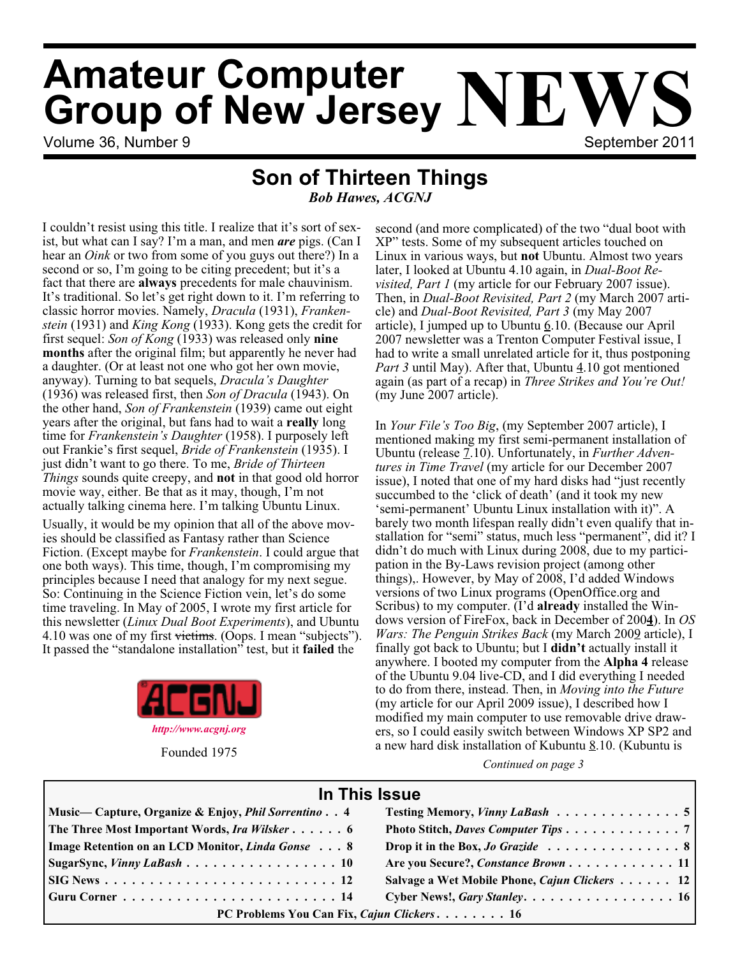# Volume 36, Number 9 September 2011 **Amateur Computer Group of New Jersey NEWS**

## **Son of Thirteen Things**

*Bob Hawes, ACGNJ*

I couldn't resist using this title. I realize that it's sort of sexist, but what can I say? I'm a man, and men *are* pigs. (Can I hear an *Oink* or two from some of you guys out there?) In a second or so, I'm going to be citing precedent; but it's a fact that there are **always** precedents for male chauvinism. It's traditional. So let's get right down to it. I'm referring to classic horror movies. Namely, *Dracula* (1931), *Frankenstein* (1931) and *King Kong* (1933). Kong gets the credit for first sequel: *Son of Kong* (1933) was released only **nine months** after the original film; but apparently he never had a daughter. (Or at least not one who got her own movie, anyway). Turning to bat sequels, *Dracula's Daughter* (1936) was released first, then *Son of Dracula* (1943). On the other hand, *Son of Frankenstein* (1939) came out eight years after the original, but fans had to wait a **really** long time for *Frankenstein's Daughter* (1958). I purposely left out Frankie's first sequel, *Bride of Frankenstein* (1935). I just didn't want to go there. To me, *Bride of Thirteen Things* sounds quite creepy, and **not** in that good old horror movie way, either. Be that as it may, though, I'm not actually talking cinema here. I'm talking Ubuntu Linux.

Usually, it would be my opinion that all of the above movies should be classified as Fantasy rather than Science Fiction. (Except maybe for *Frankenstein*. I could argue that one both ways). This time, though, I'm compromising my principles because I need that analogy for my next segue. So: Continuing in the Science Fiction vein, let's do some time traveling. In May of 2005, I wrote my first article for this newsletter (*Linux Dual Boot Experiments*), and Ubuntu 4.10 was one of my first victims. (Oops. I mean "subjects"). It passed the "standalone installation" test, but it **failed** the



Founded 1975

second (and more complicated) of the two "dual boot with XP" tests. Some of my subsequent articles touched on Linux in various ways, but **not** Ubuntu. Almost two years later, I looked at Ubuntu 4.10 again, in *Dual-Boot Revisited, Part 1* (my article for our February 2007 issue). Then, in *Dual-Boot Revisited, Part 2* (my March 2007 article) and *Dual-Boot Revisited, Part 3* (my May 2007 article), I jumped up to Ubuntu  $6.10$ . (Because our April 2007 newsletter was a Trenton Computer Festival issue, I had to write a small unrelated article for it, thus postponing *Part 3* until May). After that, Ubuntu 4.10 got mentioned again (as part of a recap) in *Three Strikes and You're Out!* (my June 2007 article).

In *Your File's Too Big*, (my September 2007 article), I mentioned making my first semi-permanent installation of Ubuntu (release 7.10). Unfortunately, in *Further Adventures in Time Travel* (my article for our December 2007 issue), I noted that one of my hard disks had "just recently succumbed to the 'click of death' (and it took my new 'semi-permanent' Ubuntu Linux installation with it)". A barely two month lifespan really didn't even qualify that installation for "semi" status, much less "permanent", did it? I didn't do much with Linux during 2008, due to my participation in the By-Laws revision project (among other things),. However, by May of 2008, I'd added Windows versions of two Linux programs (OpenOffice.org and Scribus) to my computer. (I'd **already** installed the Windows version of FireFox, back in December of 200**4**). In *OS Wars: The Penguin Strikes Back* (my March 2009 article), I finally got back to Ubuntu; but I **didn't** actually install it anywhere. I booted my computer from the **Alpha 4** release of the Ubuntu 9.04 live-CD, and I did everything I needed to do from there, instead. Then, in *Moving into the Future* (my article for our April 2009 issue), I described how I modified my main computer to use removable drive drawers, so I could easily switch between Windows XP SP2 and a new hard disk installation of Kubuntu  $8.10$ . (Kubuntu is

*Continued on page 3*

## **In This Issue**

| Music—Capture, Organize & Enjoy, <i>Phil Sorrentino</i> 4 | Testing Memory, Vinny LaBash 5                |
|-----------------------------------------------------------|-----------------------------------------------|
| The Three Most Important Words, Ira Wilsker 6             | Photo Stitch, Daves Computer Tips 7           |
| Image Retention on an LCD Monitor, Linda Gonse 8          | Drop it in the Box, <i>Jo Grazide</i> 8       |
| $\vert$ Sugar Sync, <i>Vinny LaBash</i> 10                | Are you Secure?, Constance Brown 11           |
|                                                           | Salvage a Wet Mobile Phone, Cajun Clickers 12 |
|                                                           | Cyber News!, Gary Stanley. 16                 |
| PC Problems You Can Fix, Cajun Clickers 16                |                                               |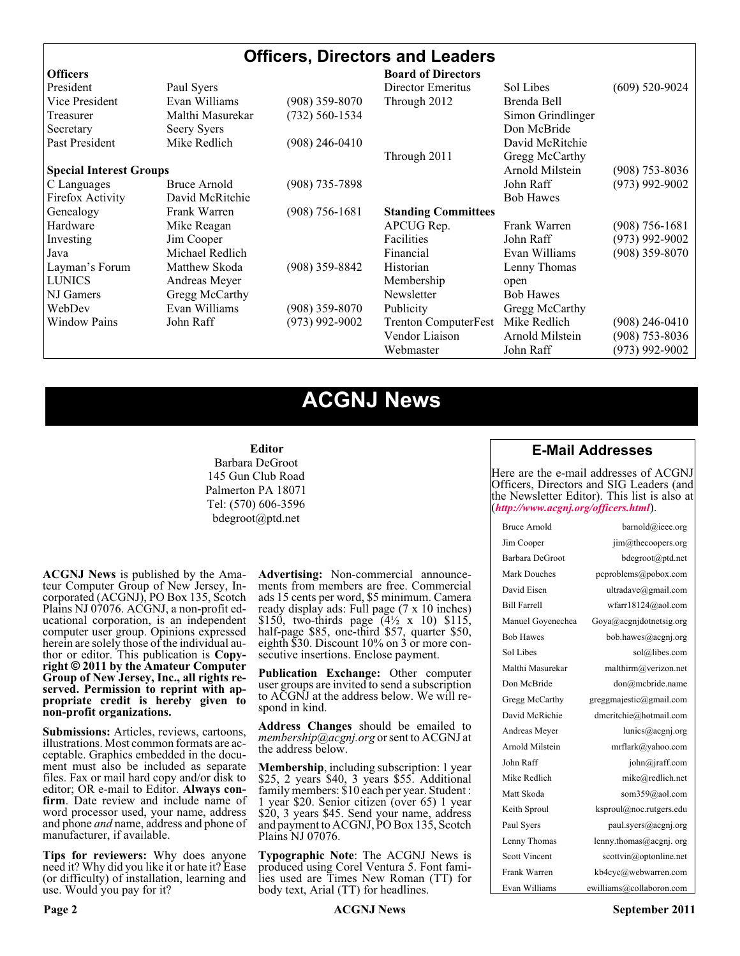## **Officers, Directors and Leaders**

| <b>Officers</b>                |                  |                  | <b>Board of Directors</b>   |                   |                  |
|--------------------------------|------------------|------------------|-----------------------------|-------------------|------------------|
| President                      | Paul Syers       |                  | Director Emeritus           | Sol Libes         | $(609)$ 520-9024 |
| Vice President                 | Evan Williams    | $(908)$ 359-8070 | Through 2012                | Brenda Bell       |                  |
| Treasurer                      | Malthi Masurekar | (732) 560-1534   |                             | Simon Grindlinger |                  |
| Secretary                      | Seery Syers      |                  |                             | Don McBride       |                  |
| Past President                 | Mike Redlich     | $(908)$ 246-0410 |                             | David McRitchie   |                  |
|                                |                  |                  | Through 2011                | Gregg McCarthy    |                  |
| <b>Special Interest Groups</b> |                  |                  |                             | Arnold Milstein   | $(908)$ 753-8036 |
| C Languages                    | Bruce Arnold     | $(908)$ 735-7898 |                             | John Raff         | $(973)$ 992-9002 |
| Firefox Activity               | David McRitchie  |                  |                             | <b>Bob Hawes</b>  |                  |
| Genealogy                      | Frank Warren     | $(908)$ 756-1681 | <b>Standing Committees</b>  |                   |                  |
| Hardware                       | Mike Reagan      |                  | APCUG Rep.                  | Frank Warren      | $(908)$ 756-1681 |
| Investing                      | Jim Cooper       |                  | <b>Facilities</b>           | John Raff         | $(973)$ 992-9002 |
| Java                           | Michael Redlich  |                  | Financial                   | Evan Williams     | $(908)$ 359-8070 |
| Layman's Forum                 | Matthew Skoda    | $(908)$ 359-8842 | Historian                   | Lenny Thomas      |                  |
| <b>LUNICS</b>                  | Andreas Meyer    |                  | Membership                  | open              |                  |
| NJ Gamers                      | Gregg McCarthy   |                  | Newsletter                  | <b>Bob Hawes</b>  |                  |
| WebDev                         | Evan Williams    | $(908)$ 359-8070 | Publicity                   | Gregg McCarthy    |                  |
| <b>Window Pains</b>            | John Raff        | $(973)$ 992-9002 | <b>Trenton ComputerFest</b> | Mike Redlich      | $(908)$ 246-0410 |
|                                |                  |                  | Vendor Liaison              | Arnold Milstein   | $(908)$ 753-8036 |
|                                |                  |                  | Webmaster                   | John Raff         | (973) 992-9002   |

## **ACGNJ News**

#### **Editor**

Barbara DeGroot 145 Gun Club Road Palmerton PA 18071 Tel: (570) 606-3596 bdegroot@ptd.net

**ACGNJ News** is published by the Ama- teur Computer Group of New Jersey, In- corporated (ACGNJ), PO Box 135, Scotch Plains NJ 07076. ACGNJ, a non-profit ed- ucational corporation, is an independent computer user group. Opinions expressed herein are solely those of the individual author or editor. This publication is **Copy-**<br>**right**  $\bigcirc$  2011 by the Amateur Computer<br>**Group of New Jersey, Inc., all rights re-Group of New Jersey, Inc., all rights re- served. Permission to reprint with ap- propriate credit is hereby given to non-profit organizations.**

**Submissions:** Articles, reviews, cartoons, illustrations. Most common formats are ac- ceptable. Graphics embedded in the docu- ment must also be included as separate files. Fax or mail hard copy and/or disk to editor; OR e-mail to Editor. Always confirm. Date review and include name of word processor used, your name, address and phone *and* name, address and phone of manufacturer, if available.

**Tips for reviewers:** Why does anyone need it? Why did you like it or hate it? Ease (or difficulty) of installation, learning and use. Would you pay for it?

**Advertising:** Non-commercial announce- ments from members are free. Commercial ads 15 cents per word, \$5 minimum. Camera ready display ads: Full page (7 x 10 inches) \$150, two-thirds page  $(4\frac{1}{2} \times 10)$  \$115, half-page \$85, one-third \$57, quarter \$50, eighth \$30. Discount 10% on 3 or more con- secutive insertions. Enclose payment.

**Publication Exchange:** Other computer user groups are invited to send a subscription to ACGNJ at the address below. We will re- spond in kind.

**Address Changes** should be emailed to *membership@acgnj.org* or sent to ACGNJ at the address below.

**Membership**, including subscription: 1 year \$25, 2 years \$40, 3 years \$55. Additional family members: \$10 each per year. Student : 1 year \$20. Senior citizen (over 65) 1 year \$20, 3 years \$45. Send your name, address and payment to ACGNJ, PO Box 135, Scotch Plains NJ 07076.

**Typographic Note**: The ACGNJ News is produced using Corel Ventura 5. Font fami- lies used are Times New Roman (TT) for body text, Arial (TT) for headlines.

### **E-Mail Addresses**

Here are the e-mail addresses of ACGNJ Officers, Directors and SIG Leaders (and the Newsletter Editor). This list is also at (*<http://www.acgnj.org/officers.html>*).

| Bruce Arnold         | barnold@ieee.org                     |
|----------------------|--------------------------------------|
| Jim Cooper           | jim@thecoopers.org                   |
| Barbara DeGroot      | bdegroot@ptd.net                     |
| Mark Douches         | pcproblems@pobox.com                 |
| David Eisen          | ultradave@gmail.com                  |
| <b>Bill Farrell</b>  | wfarr18124@aol.com                   |
| Manuel Goyenechea    | Goya@acgnidotnetsig.org              |
| <b>Bob Hawes</b>     | bob.hawes@acgnj.org                  |
| Sol Libes            | sol@libes.com                        |
| Malthi Masurekar     | malthirm@verizon.net                 |
| Don McBride          | don@mcbride.name                     |
| Gregg McCarthy       | greggmajestic@gmail.com              |
| David McRichie       | dmcritchie@hotmail.com               |
| Andreas Meyer        | lunics@acgnj.org                     |
| Arnold Milstein      | mrflark@yahoo.com                    |
| John Raff            | $\overline{\text{iohn}(a)}$ raff.com |
| Mike Redlich         | mike@redlich.net                     |
| Matt Skoda           | som359@aol.com                       |
| Keith Sproul         | ksproul@noc.rutgers.edu              |
| Paul Syers           | paul.syers@acgnj.org                 |
| Lenny Thomas         | lenny.thomas@acgnj.org               |
| <b>Scott Vincent</b> | scottvin@optonline.net               |
| Frank Warren         | kb4cyc@webwarren.com                 |
| Evan Williams        | ewilliams@collaboron.com             |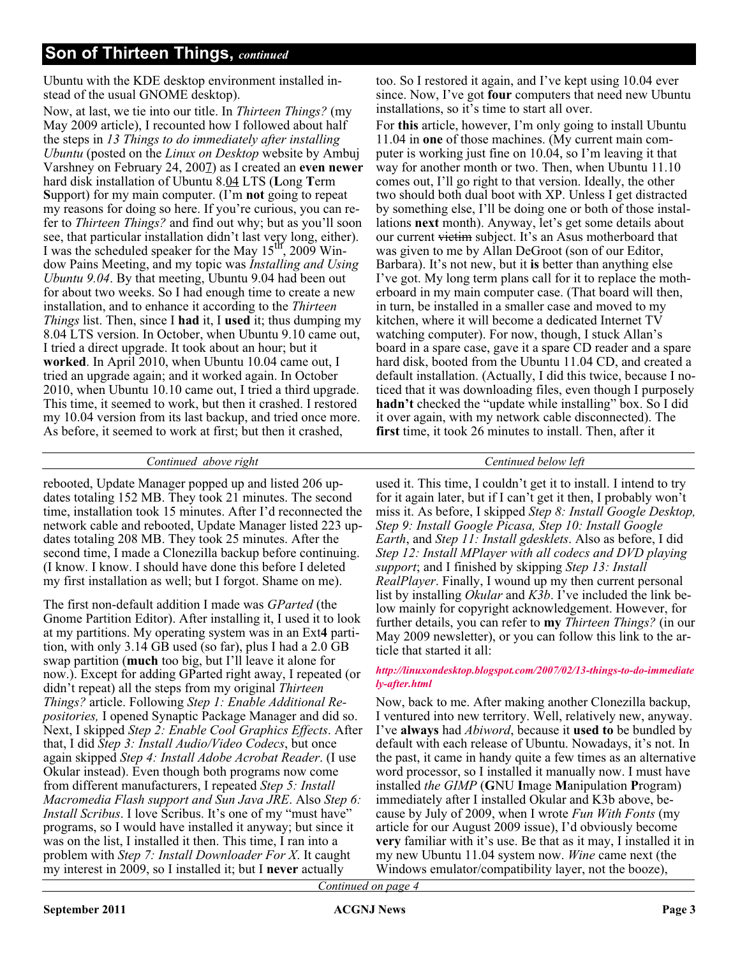## **Son of Thirteen Things,** *continued*

Ubuntu with the KDE desktop environment installed instead of the usual GNOME desktop).

Now, at last, we tie into our title. In *Thirteen Things?* (my May 2009 article), I recounted how I followed about half the steps in *13 Things to do immediately after installing Ubuntu* (posted on the *Linux on Desktop* website by Ambuj Varshney on February 24, 2007) as I created an **even newer** hard disk installation of Ubuntu 8.04 LTS (**L**ong **T**erm **S**upport) for my main computer. (I'm **not** going to repeat my reasons for doing so here. If you're curious, you can refer to *Thirteen Things?* and find out why; but as you'll soon see, that particular installation didn't last very long, either). I was the scheduled speaker for the May  $15<sup>th</sup>$ , 2009 Window Pains Meeting, and my topic was *Installing and Using Ubuntu 9.04*. By that meeting, Ubuntu 9.04 had been out for about two weeks. So I had enough time to create a new installation, and to enhance it according to the *Thirteen Things* list. Then, since I **had** it, I **used** it; thus dumping my 8.04 LTS version. In October, when Ubuntu 9.10 came out, I tried a direct upgrade. It took about an hour; but it **worked**. In April 2010, when Ubuntu 10.04 came out, I tried an upgrade again; and it worked again. In October 2010, when Ubuntu 10.10 came out, I tried a third upgrade. This time, it seemed to work, but then it crashed. I restored my 10.04 version from its last backup, and tried once more. As before, it seemed to work at first; but then it crashed,

too. So I restored it again, and I've kept using 10.04 ever since. Now, I've got **four** computers that need new Ubuntu installations, so it's time to start all over.

For **this** article, however, I'm only going to install Ubuntu 11.04 in **one** of those machines. (My current main computer is working just fine on 10.04, so I'm leaving it that way for another month or two. Then, when Ubuntu 11.10 comes out, I'll go right to that version. Ideally, the other two should both dual boot with XP. Unless I get distracted by something else, I'll be doing one or both of those installations **next** month). Anyway, let's get some details about our current victim subject. It's an Asus motherboard that was given to me by Allan DeGroot (son of our Editor, Barbara). It's not new, but it **is** better than anything else I've got. My long term plans call for it to replace the motherboard in my main computer case. (That board will then, in turn, be installed in a smaller case and moved to my kitchen, where it will become a dedicated Internet TV watching computer). For now, though, I stuck Allan's board in a spare case, gave it a spare CD reader and a spare hard disk, booted from the Ubuntu 11.04 CD, and created a default installation. (Actually, I did this twice, because I noticed that it was downloading files, even though I purposely **hadn't** checked the "update while installing" box. So I did it over again, with my network cable disconnected). The **first** time, it took 26 minutes to install. Then, after it

#### *Continued above right Centinued below left*

rebooted, Update Manager popped up and listed 206 updates totaling 152 MB. They took 21 minutes. The second time, installation took 15 minutes. After I'd reconnected the network cable and rebooted, Update Manager listed 223 updates totaling 208 MB. They took 25 minutes. After the second time, I made a Clonezilla backup before continuing. (I know. I know. I should have done this before I deleted my first installation as well; but I forgot. Shame on me).

The first non-default addition I made was *GParted* (the Gnome Partition Editor). After installing it, I used it to look at my partitions. My operating system was in an Ext**4** partition, with only 3.14 GB used (so far), plus I had a 2.0 GB swap partition (**much** too big, but I'll leave it alone for now.). Except for adding GParted right away, I repeated (or didn't repeat) all the steps from my original *Thirteen Things?* article. Following *Step 1: Enable Additional Repositories,* I opened Synaptic Package Manager and did so. Next, I skipped *Step 2: Enable Cool Graphics Effects*. After that, I did *Step 3: Install Audio/Video Codecs*, but once again skipped *Step 4: Install Adobe Acrobat Reader*. (I use Okular instead). Even though both programs now come from different manufacturers, I repeated *Step 5: Install Macromedia Flash support and Sun Java JRE*. Also *Step 6: Install Scribus*. I love Scribus. It's one of my "must have" programs, so I would have installed it anyway; but since it was on the list, I installed it then. This time, I ran into a problem with *Step 7: Install Downloader For X*. It caught my interest in 2009, so I installed it; but I **never** actually

used it. This time, I couldn't get it to install. I intend to try for it again later, but if I can't get it then, I probably won't miss it. As before, I skipped *Step 8: Install Google Desktop, Step 9: Install Google Picasa, Step 10: Install Google Earth*, and *Step 11: Install gdesklets*. Also as before, I did *Step 12: Install MPlayer with all codecs and DVD playing support*; and I finished by skipping *Step 13: Install RealPlayer*. Finally, I wound up my then current personal list by installing *Okular* and *K3b*. I've included the link below mainly for copyright acknowledgement. However, for further details, you can refer to **my** *Thirteen Things?* (in our May 2009 newsletter), or you can follow this link to the article that started it all:

#### *[http://linuxondesktop.blogspot.com/2007/02/13-things-to-do-immediate](http://linuxondesktop.blogspot.com/2007/02/13-things-to-do-immediately-after.html) ly-after.html*

Now, back to me. After making another Clonezilla backup, I ventured into new territory. Well, relatively new, anyway. I've **always** had *Abiword*, because it **used to** be bundled by default with each release of Ubuntu. Nowadays, it's not. In the past, it came in handy quite a few times as an alternative word processor, so I installed it manually now. I must have installed *the GIMP* (**G**NU **I**mage **M**anipulation **P**rogram) immediately after I installed Okular and K3b above, because by July of 2009, when I wrote *Fun With Fonts* (my article for our August 2009 issue), I'd obviously become **very** familiar with it's use. Be that as it may, I installed it in my new Ubuntu 11.04 system now. *Wine* came next (the Windows emulator/compatibility layer, not the booze),

*Continued on page 4*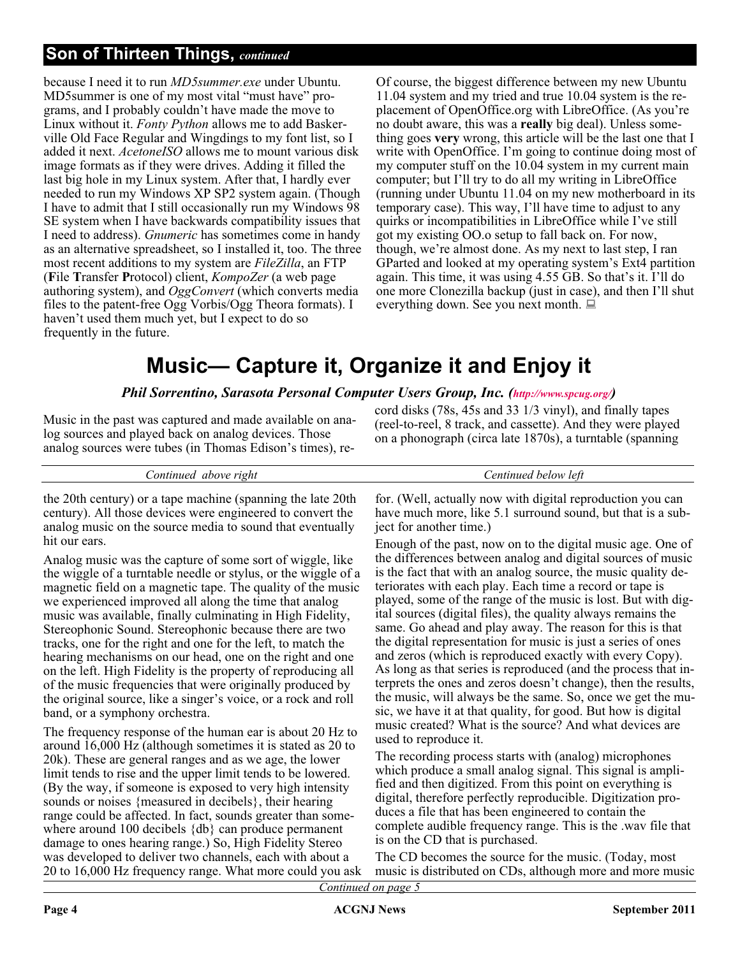## **Son of Thirteen Things,** *continued*

because I need it to run *MD5summer.exe* under Ubuntu. MD5summer is one of my most vital "must have" programs, and I probably couldn't have made the move to Linux without it. *Fonty Python* allows me to add Baskerville Old Face Regular and Wingdings to my font list, so I added it next. *AcetoneISO* allows me to mount various disk image formats as if they were drives. Adding it filled the last big hole in my Linux system. After that, I hardly ever needed to run my Windows XP SP2 system again. (Though I have to admit that I still occasionally run my Windows 98 SE system when I have backwards compatibility issues that I need to address). *Gnumeric* has sometimes come in handy as an alternative spreadsheet, so I installed it, too. The three most recent additions to my system are *FileZilla*, an FTP (**F**ile **T**ransfer **P**rotocol) client, *KompoZer* (a web page authoring system), and *OggConvert* (which converts media files to the patent-free Ogg Vorbis/Ogg Theora formats). I haven't used them much yet, but I expect to do so frequently in the future.

Of course, the biggest difference between my new Ubuntu 11.04 system and my tried and true 10.04 system is the replacement of OpenOffice.org with LibreOffice. (As you're no doubt aware, this was a **really** big deal). Unless something goes **very** wrong, this article will be the last one that I write with OpenOffice. I'm going to continue doing most of my computer stuff on the 10.04 system in my current main computer; but I'll try to do all my writing in LibreOffice (running under Ubuntu 11.04 on my new motherboard in its temporary case). This way, I'll have time to adjust to any quirks or incompatibilities in LibreOffice while I've still got my existing OO.o setup to fall back on. For now, though, we're almost done. As my next to last step, I ran GParted and looked at my operating system's Ext4 partition again. This time, it was using 4.55 GB. So that's it. I'll do one more Clonezilla backup (just in case), and then I'll shut everything down. See you next month.

## **Music— Capture it, Organize it and Enjoy it**

### *Phil Sorrentino, Sarasota Personal Computer Users Group, Inc. ([http://www.spcug.org/\)](http://www.spcug.org/)*

Music in the past was captured and made available on analog sources and played back on analog devices. Those analog sources were tubes (in Thomas Edison's times), record disks (78s, 45s and 33 1/3 vinyl), and finally tapes (reel-to-reel, 8 track, and cassette). And they were played on a phonograph (circa late 1870s), a turntable (spanning

| righi    | tett            |
|----------|-----------------|
| on       | below           |
| .1tinued | $\mathfrak{O}n$ |
| above    | tinued          |
|          |                 |

the 20th century) or a tape machine (spanning the late 20th century). All those devices were engineered to convert the analog music on the source media to sound that eventually hit our ears.

Analog music was the capture of some sort of wiggle, like the wiggle of a turntable needle or stylus, or the wiggle of a magnetic field on a magnetic tape. The quality of the music we experienced improved all along the time that analog music was available, finally culminating in High Fidelity, Stereophonic Sound. Stereophonic because there are two tracks, one for the right and one for the left, to match the hearing mechanisms on our head, one on the right and one on the left. High Fidelity is the property of reproducing all of the music frequencies that were originally produced by the original source, like a singer's voice, or a rock and roll band, or a symphony orchestra.

The frequency response of the human ear is about 20 Hz to around 16,000 Hz (although sometimes it is stated as 20 to 20k). These are general ranges and as we age, the lower limit tends to rise and the upper limit tends to be lowered. (By the way, if someone is exposed to very high intensity sounds or noises {measured in decibels}, their hearing range could be affected. In fact, sounds greater than somewhere around 100 decibels {db} can produce permanent damage to ones hearing range.) So, High Fidelity Stereo was developed to deliver two channels, each with about a 20 to 16,000 Hz frequency range. What more could you ask for. (Well, actually now with digital reproduction you can have much more, like 5.1 surround sound, but that is a subject for another time.)

Enough of the past, now on to the digital music age. One of the differences between analog and digital sources of music is the fact that with an analog source, the music quality deteriorates with each play. Each time a record or tape is played, some of the range of the music is lost. But with digital sources (digital files), the quality always remains the same. Go ahead and play away. The reason for this is that the digital representation for music is just a series of ones and zeros (which is reproduced exactly with every Copy). As long as that series is reproduced (and the process that interprets the ones and zeros doesn't change), then the results, the music, will always be the same. So, once we get the music, we have it at that quality, for good. But how is digital music created? What is the source? And what devices are used to reproduce it.

The recording process starts with (analog) microphones which produce a small analog signal. This signal is amplified and then digitized. From this point on everything is digital, therefore perfectly reproducible. Digitization produces a file that has been engineered to contain the complete audible frequency range. This is the .wav file that is on the CD that is purchased.

The CD becomes the source for the music. (Today, most music is distributed on CDs, although more and more music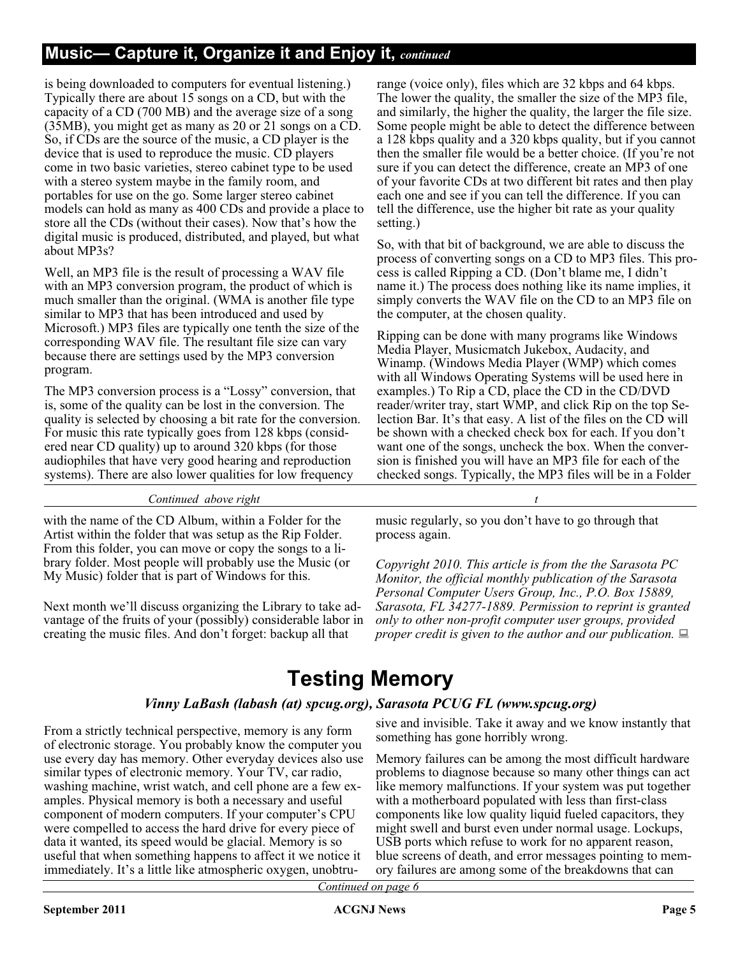## **Music— Capture it, Organize it and Enjoy it,** *continued*

is being downloaded to computers for eventual listening.) Typically there are about 15 songs on a CD, but with the capacity of a CD (700 MB) and the average size of a song (35MB), you might get as many as 20 or 21 songs on a CD. So, if CDs are the source of the music, a CD player is the device that is used to reproduce the music. CD players come in two basic varieties, stereo cabinet type to be used with a stereo system maybe in the family room, and portables for use on the go. Some larger stereo cabinet models can hold as many as 400 CDs and provide a place to store all the CDs (without their cases). Now that's how the digital music is produced, distributed, and played, but what about MP3s?

Well, an MP3 file is the result of processing a WAV file with an MP3 conversion program, the product of which is much smaller than the original. (WMA is another file type similar to MP3 that has been introduced and used by Microsoft.) MP3 files are typically one tenth the size of the corresponding WAV file. The resultant file size can vary because there are settings used by the MP3 conversion program.

The MP3 conversion process is a "Lossy" conversion, that is, some of the quality can be lost in the conversion. The quality is selected by choosing a bit rate for the conversion. For music this rate typically goes from 128 kbps (considered near CD quality) up to around 320 kbps (for those audiophiles that have very good hearing and reproduction systems). There are also lower qualities for low frequency

range (voice only), files which are 32 kbps and 64 kbps. The lower the quality, the smaller the size of the MP3 file, and similarly, the higher the quality, the larger the file size. Some people might be able to detect the difference between a 128 kbps quality and a 320 kbps quality, but if you cannot then the smaller file would be a better choice. (If you're not sure if you can detect the difference, create an MP3 of one of your favorite CDs at two different bit rates and then play each one and see if you can tell the difference. If you can tell the difference, use the higher bit rate as your quality setting.)

So, with that bit of background, we are able to discuss the process of converting songs on a CD to MP3 files. This process is called Ripping a CD. (Don't blame me, I didn't name it.) The process does nothing like its name implies, it simply converts the WAV file on the CD to an MP3 file on the computer, at the chosen quality.

Ripping can be done with many programs like Windows Media Player, Musicmatch Jukebox, Audacity, and Winamp. (Windows Media Player (WMP) which comes with all Windows Operating Systems will be used here in examples.) To Rip a CD, place the CD in the CD/DVD reader/writer tray, start WMP, and click Rip on the top Selection Bar. It's that easy. A list of the files on the CD will be shown with a checked check box for each. If you don't want one of the songs, uncheck the box. When the conversion is finished you will have an MP3 file for each of the checked songs. Typically, the MP3 files will be in a Folder

#### *Continued above right*

with the name of the CD Album, within a Folder for the Artist within the folder that was setup as the Rip Folder. From this folder, you can move or copy the songs to a library folder. Most people will probably use the Music (or My Music) folder that is part of Windows for this.

Next month we'll discuss organizing the Library to take advantage of the fruits of your (possibly) considerable labor in creating the music files. And don't forget: backup all that

music regularly, so you don't have to go through that process again.

*Copyright 2010. This article is from the the Sarasota PC Monitor, the official monthly publication of the Sarasota Personal Computer Users Group, Inc., P.O. Box 15889, Sarasota, FL 34277-1889. Permission to reprint is granted only to other non-profit computer user groups, provided proper credit is given to the author and our publication.*

## **Testing Memory**

#### *Vinny LaBash (labash (at) spcug.org), Sarasota PCUG FL (www.spcug.org)*

From a strictly technical perspective, memory is any form of electronic storage. You probably know the computer you use every day has memory. Other everyday devices also use similar types of electronic memory. Your TV, car radio, washing machine, wrist watch, and cell phone are a few examples. Physical memory is both a necessary and useful component of modern computers. If your computer's CPU were compelled to access the hard drive for every piece of data it wanted, its speed would be glacial. Memory is so useful that when something happens to affect it we notice it immediately. It's a little like atmospheric oxygen, unobtrusive and invisible. Take it away and we know instantly that something has gone horribly wrong.

Memory failures can be among the most difficult hardware problems to diagnose because so many other things can act like memory malfunctions. If your system was put together with a motherboard populated with less than first-class components like low quality liquid fueled capacitors, they might swell and burst even under normal usage. Lockups, USB ports which refuse to work for no apparent reason, blue screens of death, and error messages pointing to memory failures are among some of the breakdowns that can

*Continued on page 6*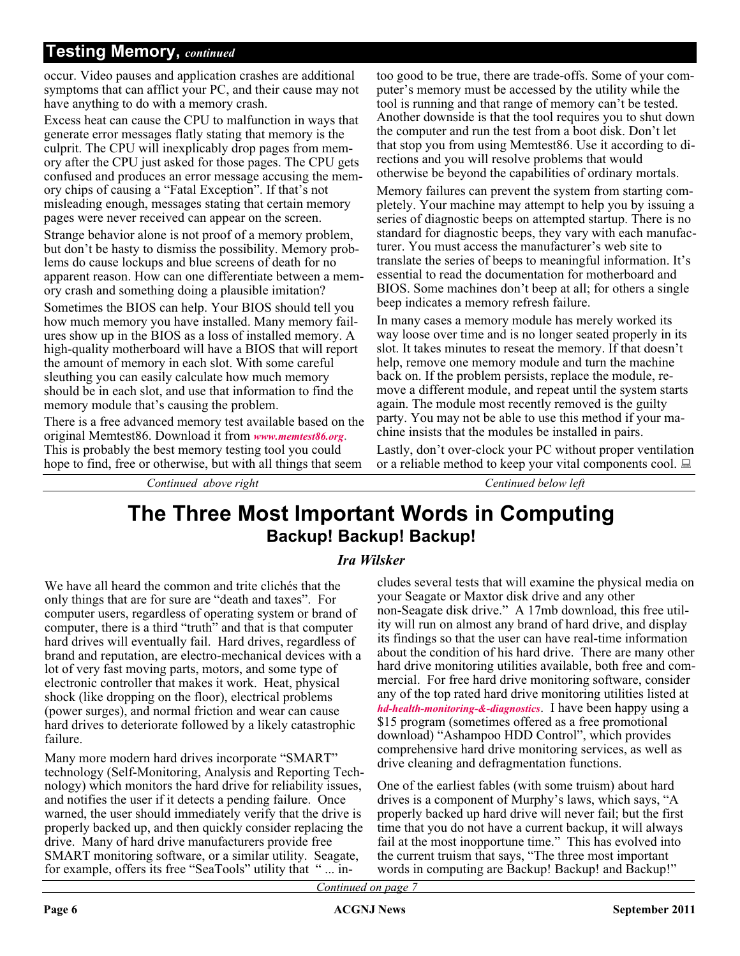## **Testing Memory,** *continued*

occur. Video pauses and application crashes are additional symptoms that can afflict your PC, and their cause may not have anything to do with a memory crash.

Excess heat can cause the CPU to malfunction in ways that generate error messages flatly stating that memory is the culprit. The CPU will inexplicably drop pages from memory after the CPU just asked for those pages. The CPU gets confused and produces an error message accusing the memory chips of causing a "Fatal Exception". If that's not misleading enough, messages stating that certain memory pages were never received can appear on the screen.

Strange behavior alone is not proof of a memory problem, but don't be hasty to dismiss the possibility. Memory problems do cause lockups and blue screens of death for no apparent reason. How can one differentiate between a memory crash and something doing a plausible imitation?

Sometimes the BIOS can help. Your BIOS should tell you how much memory you have installed. Many memory failures show up in the BIOS as a loss of installed memory. A high-quality motherboard will have a BIOS that will report the amount of memory in each slot. With some careful sleuthing you can easily calculate how much memory should be in each slot, and use that information to find the memory module that's causing the problem.

There is a free advanced memory test available based on the original Memtest86. Download it from *[www.memtest86.org](http://www.memtest86.org)*. This is probably the best memory testing tool you could hope to find, free or otherwise, but with all things that seem

*Continued above right Centinued below left*

too good to be true, there are trade-offs. Some of your computer's memory must be accessed by the utility while the tool is running and that range of memory can't be tested. Another downside is that the tool requires you to shut down the computer and run the test from a boot disk. Don't let that stop you from using Memtest86. Use it according to directions and you will resolve problems that would otherwise be beyond the capabilities of ordinary mortals.

Memory failures can prevent the system from starting completely. Your machine may attempt to help you by issuing a series of diagnostic beeps on attempted startup. There is no standard for diagnostic beeps, they vary with each manufacturer. You must access the manufacturer's web site to translate the series of beeps to meaningful information. It's essential to read the documentation for motherboard and BIOS. Some machines don't beep at all; for others a single beep indicates a memory refresh failure.

In many cases a memory module has merely worked its way loose over time and is no longer seated properly in its slot. It takes minutes to reseat the memory. If that doesn't help, remove one memory module and turn the machine back on. If the problem persists, replace the module, remove a different module, and repeat until the system starts again. The module most recently removed is the guilty party. You may not be able to use this method if your machine insists that the modules be installed in pairs.

Lastly, don't over-clock your PC without proper ventilation or a reliable method to keep your vital components cool.  $\Box$ 

## **The Three Most Important Words in Computing Backup! Backup! Backup!**

### *Ira Wilsker*

We have all heard the common and trite clichés that the only things that are for sure are "death and taxes". For computer users, regardless of operating system or brand of computer, there is a third "truth" and that is that computer hard drives will eventually fail. Hard drives, regardless of brand and reputation, are electro-mechanical devices with a lot of very fast moving parts, motors, and some type of electronic controller that makes it work. Heat, physical shock (like dropping on the floor), electrical problems (power surges), and normal friction and wear can cause hard drives to deteriorate followed by a likely catastrophic failure.

Many more modern hard drives incorporate "SMART" technology (Self-Monitoring, Analysis and Reporting Technology) which monitors the hard drive for reliability issues, and notifies the user if it detects a pending failure. Once warned, the user should immediately verify that the drive is properly backed up, and then quickly consider replacing the drive. Many of hard drive manufacturers provide free SMART monitoring software, or a similar utility. Seagate, for example, offers its free "SeaTools" utility that " ... includes several tests that will examine the physical media on your Seagate or Maxtor disk drive and any other non-Seagate disk drive." A 17mb download, this free utility will run on almost any brand of hard drive, and display its findings so that the user can have real-time information about the condition of his hard drive. There are many other hard drive monitoring utilities available, both free and commercial. For free hard drive monitoring software, consider any of the top rated hard drive monitoring utilities listed at *[hd-health-monitoring-&-diagnostics](http://techsupportalert.com/best-free-hd-health-monitoring-and-diagnostic-programs.htm)*. I have been happy using a \$15 program (sometimes offered as a free promotional download) "Ashampoo HDD Control", which provides comprehensive hard drive monitoring services, as well as drive cleaning and defragmentation functions.

One of the earliest fables (with some truism) about hard drives is a component of Murphy's laws, which says, "A properly backed up hard drive will never fail; but the first time that you do not have a current backup, it will always fail at the most inopportune time." This has evolved into the current truism that says, "The three most important words in computing are Backup! Backup! and Backup!"

*Continued on page 7*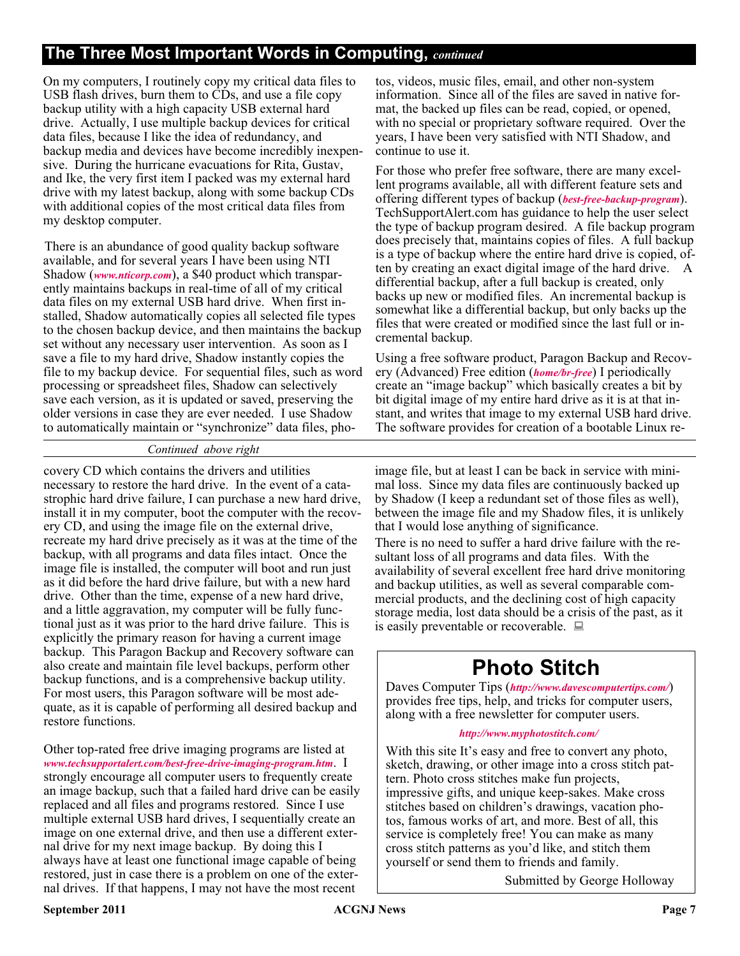## **The Three Most Important Words in Computing,** *continued*

On my computers, I routinely copy my critical data files to USB flash drives, burn them to CDs, and use a file copy backup utility with a high capacity USB external hard drive. Actually, I use multiple backup devices for critical data files, because I like the idea of redundancy, and backup media and devices have become incredibly inexpensive. During the hurricane evacuations for Rita, Gustav, and Ike, the very first item I packed was my external hard drive with my latest backup, along with some backup CDs with additional copies of the most critical data files from my desktop computer.

There is an abundance of good quality backup software available, and for several years I have been using NTI Shadow (*[www.nticorp.com](http://www.nticorp.com)*), a \$40 product which transparently maintains backups in real-time of all of my critical data files on my external USB hard drive. When first installed, Shadow automatically copies all selected file types to the chosen backup device, and then maintains the backup set without any necessary user intervention. As soon as I save a file to my hard drive, Shadow instantly copies the file to my backup device. For sequential files, such as word processing or spreadsheet files, Shadow can selectively save each version, as it is updated or saved, preserving the older versions in case they are ever needed. I use Shadow to automatically maintain or "synchronize" data files, photos, videos, music files, email, and other non-system information. Since all of the files are saved in native format, the backed up files can be read, copied, or opened, with no special or proprietary software required. Over the years, I have been very satisfied with NTI Shadow, and continue to use it.

For those who prefer free software, there are many excellent programs available, all with different feature sets and offering different types of backup (*[best-free-backup-program](http://www.techsupportalert.com/best-free-backup-program)*). TechSupportAlert.com has guidance to help the user select the type of backup program desired. A file backup program does precisely that, maintains copies of files. A full backup is a type of backup where the entire hard drive is copied, often by creating an exact digital image of the hard drive. A differential backup, after a full backup is created, only backs up new or modified files. An incremental backup is somewhat like a differential backup, but only backs up the files that were created or modified since the last full or incremental backup.

Using a free software product, Paragon Backup and Recovery (Advanced) Free edition (*[home/br-free](http://www.paragon-software.com/home/br-free)*) I periodically create an "image backup" which basically creates a bit by bit digital image of my entire hard drive as it is at that instant, and writes that image to my external USB hard drive. The software provides for creation of a bootable Linux re-

#### *Continued above right*

covery CD which contains the drivers and utilities necessary to restore the hard drive. In the event of a catastrophic hard drive failure, I can purchase a new hard drive, install it in my computer, boot the computer with the recovery CD, and using the image file on the external drive, recreate my hard drive precisely as it was at the time of the backup, with all programs and data files intact. Once the image file is installed, the computer will boot and run just as it did before the hard drive failure, but with a new hard drive. Other than the time, expense of a new hard drive, and a little aggravation, my computer will be fully functional just as it was prior to the hard drive failure. This is explicitly the primary reason for having a current image backup. This Paragon Backup and Recovery software can also create and maintain file level backups, perform other backup functions, and is a comprehensive backup utility. For most users, this Paragon software will be most adequate, as it is capable of performing all desired backup and restore functions.

Other top-rated free drive imaging programs are listed at *[www.techsupportalert.com/best-free-drive-imaging-program.htm](http://www.techsupportalert.com/best-free-drive-imaging-program.htm)*. I strongly encourage all computer users to frequently create an image backup, such that a failed hard drive can be easily replaced and all files and programs restored. Since I use multiple external USB hard drives, I sequentially create an image on one external drive, and then use a different external drive for my next image backup. By doing this I always have at least one functional image capable of being restored, just in case there is a problem on one of the external drives. If that happens, I may not have the most recent

image file, but at least I can be back in service with minimal loss. Since my data files are continuously backed up by Shadow (I keep a redundant set of those files as well), between the image file and my Shadow files, it is unlikely that I would lose anything of significance.

There is no need to suffer a hard drive failure with the resultant loss of all programs and data files. With the availability of several excellent free hard drive monitoring and backup utilities, as well as several comparable commercial products, and the declining cost of high capacity storage media, lost data should be a crisis of the past, as it is easily preventable or recoverable.  $\Box$ 

## **Photo Stitch**

Daves Computer Tips (*<http://www.davescomputertips.com/>*) provides free tips, help, and tricks for computer users, along with a free newsletter for computer users.

#### *[http://www.myphotostitch.com/](http://www.myphotostitch.com/ )*

With this site It's easy and free to convert any photo, sketch, drawing, or other image into a cross stitch pattern. Photo cross stitches make fun projects, impressive gifts, and unique keep-sakes. Make cross stitches based on children's drawings, vacation photos, famous works of art, and more. Best of all, this service is completely free! You can make as many cross stitch patterns as you'd like, and stitch them yourself or send them to friends and family.

Submitted by George Holloway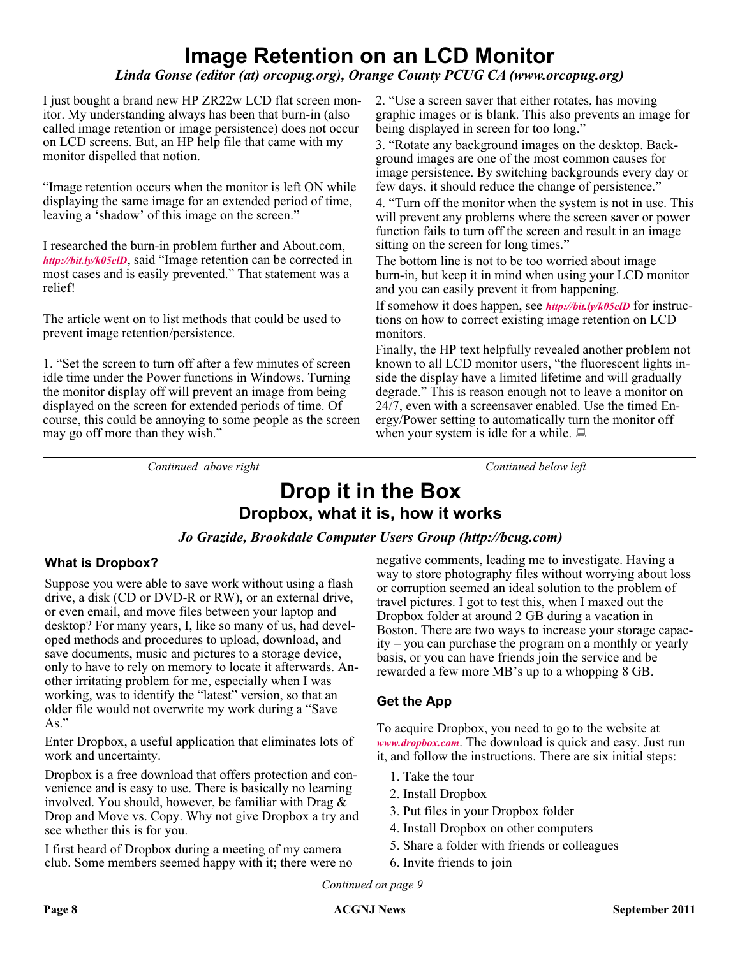## **Image Retention on an LCD Monitor**

## *Linda Gonse (editor (at) orcopug.org), Orange County PCUG CA (www.orcopug.org)*

I just bought a brand new HP ZR22w LCD flat screen monitor. My understanding always has been that burn-in (also called image retention or image persistence) does not occur on LCD screens. But, an HP help file that came with my monitor dispelled that notion.

"Image retention occurs when the monitor is left ON while displaying the same image for an extended period of time, leaving a 'shadow' of this image on the screen."

I researched the burn-in problem further and About.com, *<http://bit.ly/k05clD>*, said "Image retention can be corrected in most cases and is easily prevented." That statement was a relief!

The article went on to list methods that could be used to prevent image retention/persistence.

1. "Set the screen to turn off after a few minutes of screen idle time under the Power functions in Windows. Turning the monitor display off will prevent an image from being displayed on the screen for extended periods of time. Of course, this could be annoying to some people as the screen may go off more than they wish."

2. "Use a screen saver that either rotates, has moving graphic images or is blank. This also prevents an image for being displayed in screen for too long."

3. "Rotate any background images on the desktop. Background images are one of the most common causes for image persistence. By switching backgrounds every day or few days, it should reduce the change of persistence."

4. "Turn off the monitor when the system is not in use. This will prevent any problems where the screen saver or power function fails to turn off the screen and result in an image sitting on the screen for long times."

The bottom line is not to be too worried about image burn-in, but keep it in mind when using your LCD monitor and you can easily prevent it from happening.

If somehow it does happen, see *<http://bit.ly/k05clD>* for instructions on how to correct existing image retention on LCD monitors.

Finally, the HP text helpfully revealed another problem not known to all LCD monitor users, "the fluorescent lights inside the display have a limited lifetime and will gradually degrade." This is reason enough not to leave a monitor on 24/7, even with a screensaver enabled. Use the timed Energy/Power setting to automatically turn the monitor off when your system is idle for a while.  $\Box$ 

*Continued above right Continued below left*

## **Drop it in the Box Dropbox, what it is, how it works**

### *Jo Grazide, Brookdale Computer Users Group (http://bcug.com)*

### **What is Dropbox?**

Suppose you were able to save work without using a flash drive, a disk (CD or DVD-R or RW), or an external drive, or even email, and move files between your laptop and desktop? For many years, I, like so many of us, had developed methods and procedures to upload, download, and save documents, music and pictures to a storage device, only to have to rely on memory to locate it afterwards. Another irritating problem for me, especially when I was working, was to identify the "latest" version, so that an older file would not overwrite my work during a "Save  $As.$ "

Enter Dropbox, a useful application that eliminates lots of work and uncertainty.

Dropbox is a free download that offers protection and convenience and is easy to use. There is basically no learning involved. You should, however, be familiar with Drag & Drop and Move vs. Copy. Why not give Dropbox a try and see whether this is for you.

I first heard of Dropbox during a meeting of my camera club. Some members seemed happy with it; there were no negative comments, leading me to investigate. Having a way to store photography files without worrying about loss or corruption seemed an ideal solution to the problem of travel pictures. I got to test this, when I maxed out the Dropbox folder at around 2 GB during a vacation in Boston. There are two ways to increase your storage capacity – you can purchase the program on a monthly or yearly basis, or you can have friends join the service and be rewarded a few more MB's up to a whopping 8 GB.

## **Get the App**

To acquire Dropbox, you need to go to the website at *[www.dropbox.com](http://www.dropbox.com)*. The download is quick and easy. Just run it, and follow the instructions. There are six initial steps:

- 1. Take the tour
- 2. Install Dropbox
- 3. Put files in your Dropbox folder
- 4. Install Dropbox on other computers
- 5. Share a folder with friends or colleagues
- 6. Invite friends to join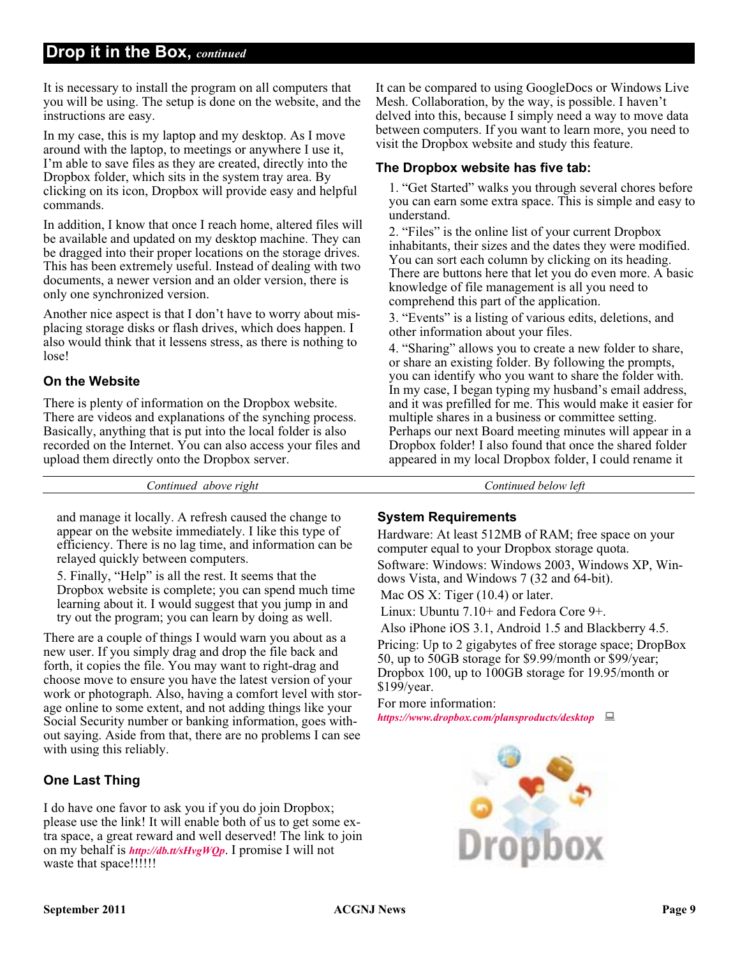## **Drop it in the Box,** *continued*

It is necessary to install the program on all computers that you will be using. The setup is done on the website, and the instructions are easy.

In my case, this is my laptop and my desktop. As I move around with the laptop, to meetings or anywhere I use it, I'm able to save files as they are created, directly into the Dropbox folder, which sits in the system tray area. By clicking on its icon, Dropbox will provide easy and helpful commands.

In addition, I know that once I reach home, altered files will be available and updated on my desktop machine. They can be dragged into their proper locations on the storage drives. This has been extremely useful. Instead of dealing with two documents, a newer version and an older version, there is only one synchronized version.

Another nice aspect is that I don't have to worry about misplacing storage disks or flash drives, which does happen. I also would think that it lessens stress, as there is nothing to lose!

### **On the Website**

There is plenty of information on the Dropbox website. There are videos and explanations of the synching process. Basically, anything that is put into the local folder is also recorded on the Internet. You can also access your files and upload them directly onto the Dropbox server.

It can be compared to using GoogleDocs or Windows Live Mesh. Collaboration, by the way, is possible. I haven't delved into this, because I simply need a way to move data between computers. If you want to learn more, you need to visit the Dropbox website and study this feature.

#### **The Dropbox website has five tab:**

1. "Get Started" walks you through several chores before you can earn some extra space. This is simple and easy to understand.

2. "Files" is the online list of your current Dropbox inhabitants, their sizes and the dates they were modified. You can sort each column by clicking on its heading. There are buttons here that let you do even more. A basic knowledge of file management is all you need to comprehend this part of the application.

3. "Events" is a listing of various edits, deletions, and other information about your files.

4. "Sharing" allows you to create a new folder to share, or share an existing folder. By following the prompts, you can identify who you want to share the folder with. In my case, I began typing my husband's email address, and it was prefilled for me. This would make it easier for multiple shares in a business or committee setting. Perhaps our next Board meeting minutes will appear in a Dropbox folder! I also found that once the shared folder appeared in my local Dropbox folder, I could rename it

*Continued above right Continued below left*

and manage it locally. A refresh caused the change to appear on the website immediately. I like this type of efficiency. There is no lag time, and information can be relayed quickly between computers.

5. Finally, "Help" is all the rest. It seems that the Dropbox website is complete; you can spend much time learning about it. I would suggest that you jump in and try out the program; you can learn by doing as well.

There are a couple of things I would warn you about as a new user. If you simply drag and drop the file back and forth, it copies the file. You may want to right-drag and choose move to ensure you have the latest version of your work or photograph. Also, having a comfort level with storage online to some extent, and not adding things like your Social Security number or banking information, goes without saying. Aside from that, there are no problems I can see with using this reliably.

## **One Last Thing**

I do have one favor to ask you if you do join Dropbox; please use the link! It will enable both of us to get some extra space, a great reward and well deserved! The link to join on my behalf is *<http://db.tt/sHvgWQp>*. I promise I will not waste that space!!!!!!

### **System Requirements**

Hardware: At least 512MB of RAM; free space on your computer equal to your Dropbox storage quota. Software: Windows: Windows 2003, Windows XP, Windows Vista, and Windows 7 (32 and 64-bit).

Mac OS X: Tiger (10.4) or later.

Linux: Ubuntu 7.10+ and Fedora Core 9+.

Also iPhone iOS 3.1, Android 1.5 and Blackberry 4.5. Pricing: Up to 2 gigabytes of free storage space; DropBox 50, up to 50GB storage for \$9.99/month or \$99/year; Dropbox 100, up to 100GB storage for 19.95/month or \$199/year.

For more information: *[https://www.dropbox.com/plansproducts/desktop](http://https://www.dropbox.com/plansproducts/desktop)*

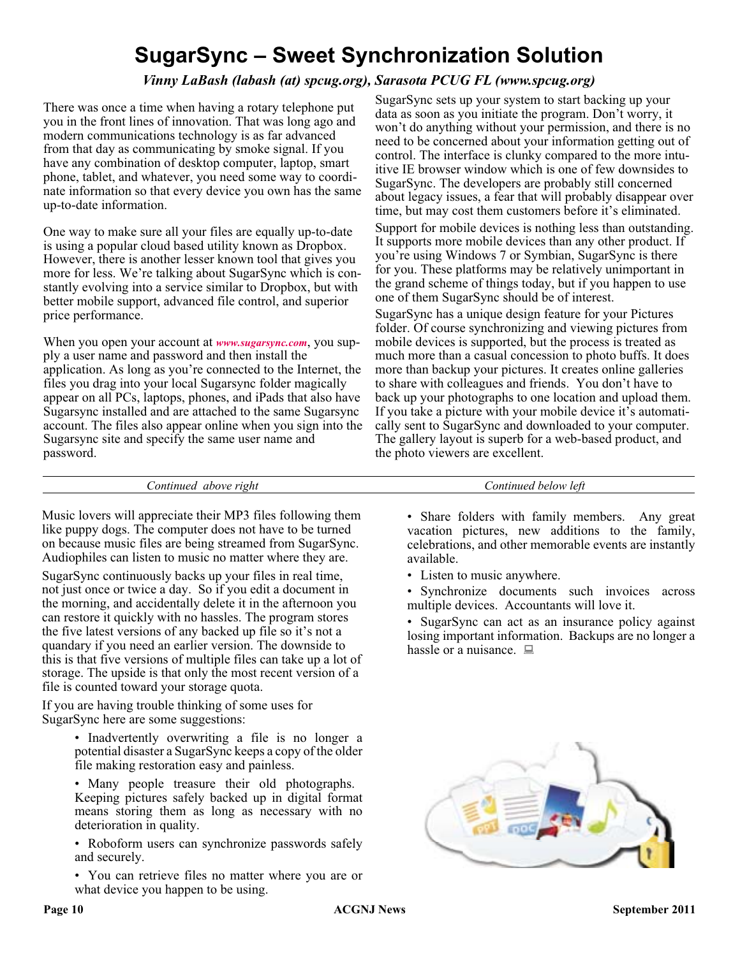## **SugarSync – Sweet Synchronization Solution**

## *Vinny LaBash (labash (at) spcug.org), Sarasota PCUG FL (www.spcug.org)*

There was once a time when having a rotary telephone put you in the front lines of innovation. That was long ago and modern communications technology is as far advanced from that day as communicating by smoke signal. If you have any combination of desktop computer, laptop, smart phone, tablet, and whatever, you need some way to coordinate information so that every device you own has the same up-to-date information.

One way to make sure all your files are equally up-to-date is using a popular cloud based utility known as Dropbox. However, there is another lesser known tool that gives you more for less. We're talking about SugarSync which is constantly evolving into a service similar to Dropbox, but with better mobile support, advanced file control, and superior price performance.

When you open your account at *[www.sugarsync.com](http://www.sugarsync.com)*, you supply a user name and password and then install the application. As long as you're connected to the Internet, the files you drag into your local Sugarsync folder magically appear on all PCs, laptops, phones, and iPads that also have Sugarsync installed and are attached to the same Sugarsync account. The files also appear online when you sign into the Sugarsync site and specify the same user name and password.

SugarSync sets up your system to start backing up your data as soon as you initiate the program. Don't worry, it won't do anything without your permission, and there is no need to be concerned about your information getting out of control. The interface is clunky compared to the more intuitive IE browser window which is one of few downsides to SugarSync. The developers are probably still concerned about legacy issues, a fear that will probably disappear over time, but may cost them customers before it's eliminated. Support for mobile devices is nothing less than outstanding.

It supports more mobile devices than any other product. If you're using Windows 7 or Symbian, SugarSync is there for you. These platforms may be relatively unimportant in the grand scheme of things today, but if you happen to use one of them SugarSync should be of interest.

SugarSync has a unique design feature for your Pictures folder. Of course synchronizing and viewing pictures from mobile devices is supported, but the process is treated as much more than a casual concession to photo buffs. It does more than backup your pictures. It creates online galleries to share with colleagues and friends. You don't have to back up your photographs to one location and upload them. If you take a picture with your mobile device it's automatically sent to SugarSync and downloaded to your computer. The gallery layout is superb for a web-based product, and the photo viewers are excellent.

*Continued above right Continued below left*

Music lovers will appreciate their MP3 files following them like puppy dogs. The computer does not have to be turned on because music files are being streamed from SugarSync. Audiophiles can listen to music no matter where they are.

SugarSync continuously backs up your files in real time, not just once or twice a day. So if you edit a document in the morning, and accidentally delete it in the afternoon you can restore it quickly with no hassles. The program stores the five latest versions of any backed up file so it's not a quandary if you need an earlier version. The downside to this is that five versions of multiple files can take up a lot of storage. The upside is that only the most recent version of a file is counted toward your storage quota.

If you are having trouble thinking of some uses for SugarSync here are some suggestions:

> • Inadvertently overwriting a file is no longer a potential disaster a SugarSync keeps a copy of the older file making restoration easy and painless.

> • Many people treasure their old photographs. Keeping pictures safely backed up in digital format means storing them as long as necessary with no deterioration in quality.

> • Roboform users can synchronize passwords safely and securely.

> • You can retrieve files no matter where you are or what device you happen to be using.

- Share folders with family members. Any great vacation pictures, new additions to the family, celebrations, and other memorable events are instantly available.
- Listen to music anywhere.
- Synchronize documents such invoices across multiple devices. Accountants will love it.

• SugarSync can act as an insurance policy against losing important information. Backups are no longer a hassle or a nuisance.  $\Box$ 

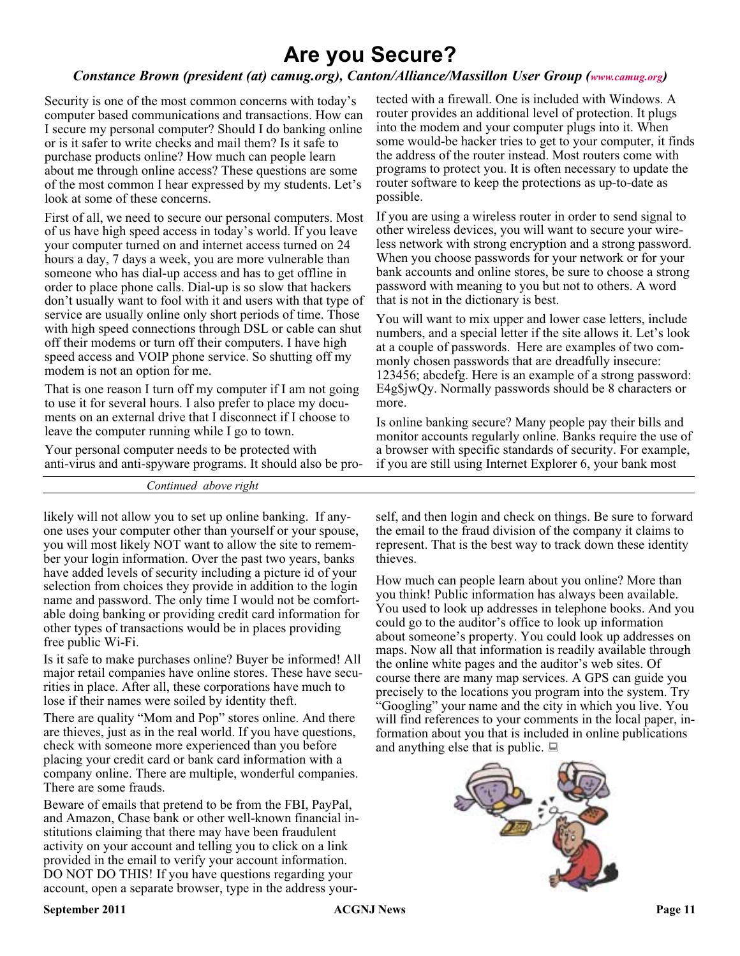## **Are you Secure?**

## *Constance Brown (president (at) camug.org), Canton/Alliance/Massillon User Group ([www.camug.org](http://www.camug.org))*

Security is one of the most common concerns with today's computer based communications and transactions. How can I secure my personal computer? Should I do banking online or is it safer to write checks and mail them? Is it safe to purchase products online? How much can people learn about me through online access? These questions are some of the most common I hear expressed by my students. Let's look at some of these concerns.

First of all, we need to secure our personal computers. Most of us have high speed access in today's world. If you leave your computer turned on and internet access turned on 24 hours a day, 7 days a week, you are more vulnerable than someone who has dial-up access and has to get offline in order to place phone calls. Dial-up is so slow that hackers don't usually want to fool with it and users with that type of service are usually online only short periods of time. Those with high speed connections through DSL or cable can shut off their modems or turn off their computers. I have high speed access and VOIP phone service. So shutting off my modem is not an option for me.

That is one reason I turn off my computer if I am not going to use it for several hours. I also prefer to place my documents on an external drive that I disconnect if I choose to leave the computer running while I go to town.

Your personal computer needs to be protected with anti-virus and anti-spyware programs. It should also be pro-

*Continued above right*

likely will not allow you to set up online banking. If anyone uses your computer other than yourself or your spouse, you will most likely NOT want to allow the site to remember your login information. Over the past two years, banks have added levels of security including a picture id of your selection from choices they provide in addition to the login name and password. The only time I would not be comfortable doing banking or providing credit card information for other types of transactions would be in places providing free public Wi-Fi.

Is it safe to make purchases online? Buyer be informed! All major retail companies have online stores. These have securities in place. After all, these corporations have much to lose if their names were soiled by identity theft.

There are quality "Mom and Pop" stores online. And there are thieves, just as in the real world. If you have questions, check with someone more experienced than you before placing your credit card or bank card information with a company online. There are multiple, wonderful companies. There are some frauds.

Beware of emails that pretend to be from the FBI, PayPal, and Amazon, Chase bank or other well-known financial institutions claiming that there may have been fraudulent activity on your account and telling you to click on a link provided in the email to verify your account information. DO NOT DO THIS! If you have questions regarding your account, open a separate browser, type in the address your-

tected with a firewall. One is included with Windows. A router provides an additional level of protection. It plugs into the modem and your computer plugs into it. When some would-be hacker tries to get to your computer, it finds the address of the router instead. Most routers come with programs to protect you. It is often necessary to update the router software to keep the protections as up-to-date as possible.

If you are using a wireless router in order to send signal to other wireless devices, you will want to secure your wireless network with strong encryption and a strong password. When you choose passwords for your network or for your bank accounts and online stores, be sure to choose a strong password with meaning to you but not to others. A word that is not in the dictionary is best.

You will want to mix upper and lower case letters, include numbers, and a special letter if the site allows it. Let's look at a couple of passwords. Here are examples of two commonly chosen passwords that are dreadfully insecure: 123456; abcdefg. Here is an example of a strong password: E4g\$jwQy. Normally passwords should be 8 characters or more.

Is online banking secure? Many people pay their bills and monitor accounts regularly online. Banks require the use of a browser with specific standards of security. For example, if you are still using Internet Explorer 6, your bank most

self, and then login and check on things. Be sure to forward the email to the fraud division of the company it claims to represent. That is the best way to track down these identity thieves.

How much can people learn about you online? More than you think! Public information has always been available. You used to look up addresses in telephone books. And you could go to the auditor's office to look up information about someone's property. You could look up addresses on maps. Now all that information is readily available through the online white pages and the auditor's web sites. Of course there are many map services. A GPS can guide you precisely to the locations you program into the system. Try "Googling" your name and the city in which you live. You will find references to your comments in the local paper, information about you that is included in online publications and anything else that is public.  $\Box$ 

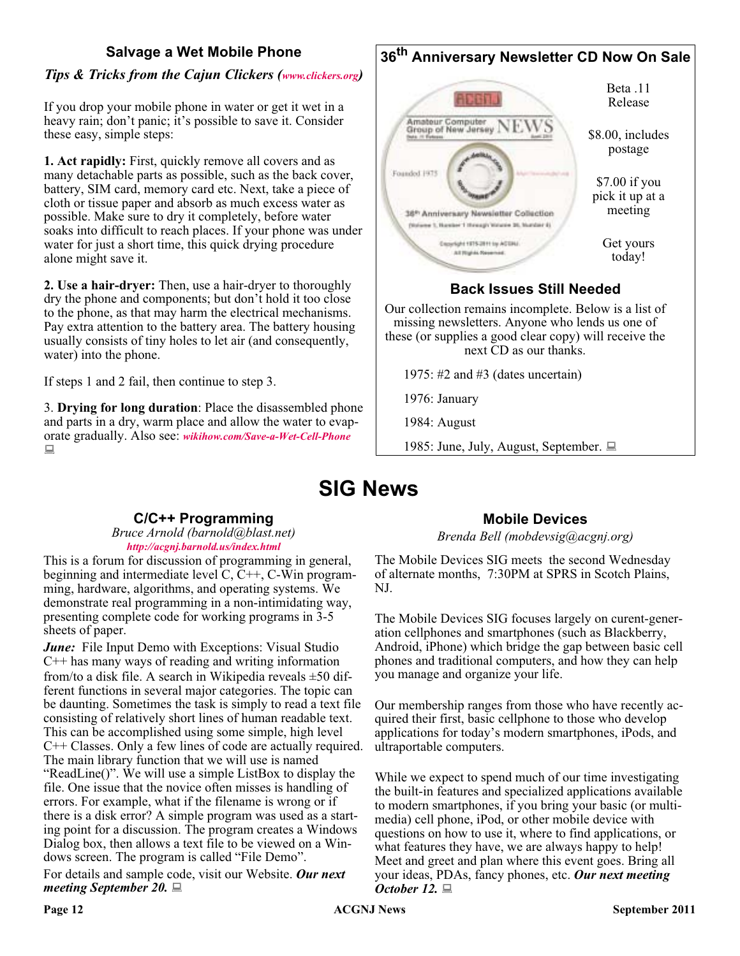## **Salvage a Wet Mobile Phone**

## *Tips & Tricks from the Cajun Clickers ([www.clickers.org\)](http://www.clickers.org)*

If you drop your mobile phone in water or get it wet in a heavy rain; don't panic; it's possible to save it. Consider these easy, simple steps:

**1. Act rapidly:** First, quickly remove all covers and as many detachable parts as possible, such as the back cover, battery, SIM card, memory card etc. Next, take a piece of cloth or tissue paper and absorb as much excess water as possible. Make sure to dry it completely, before water soaks into difficult to reach places. If your phone was under water for just a short time, this quick drying procedure alone might save it.

**2. Use a hair-dryer:** Then, use a hair-dryer to thoroughly dry the phone and components; but don't hold it too close to the phone, as that may harm the electrical mechanisms. Pay extra attention to the battery area. The battery housing usually consists of tiny holes to let air (and consequently, water) into the phone.

If steps 1 and 2 fail, then continue to step 3.

3. **Drying for long duration**: Place the disassembled phone and parts in a dry, warm place and allow the water to evaporate gradually. Also see: *[wikihow.com/Save-a-Wet-Cell-Phone](http://www.wikihow.com/Save-a-Wet-Cell-Phone)*  $\Box$ 

#### **36th Anniversary Newsletter CD Now On Sale** Beta .11 **ALLEY** Release Amateur Computer<br>Group of New Jersey \$8.00, includes postage Founded 1975 \$7.00 if you pick it up at a meeting 36<sup>th</sup> Anniversary Newsletter Collection (Natures 1, Namber 1 Hansagi: Watures 26, Number 4) Get yours Copyright 1975-2011 to ACGRI All Rights Reserved today!

## **Back Issues Still Needed**

Our collection remains incomplete. Below is a list of missing newsletters. Anyone who lends us one of these (or supplies a good clear copy) will receive the next CD as our thanks.

1975: #2 and #3 (dates uncertain)

1976: January

1984: August

1985: June, July, August, September.

## **SIG News**

## **C/C++ Programming**

*Bruce Arnold (barnold@blast.net) <http://acgnj.barnold.us/index.html>*

This is a forum for discussion of programming in general, beginning and intermediate level C, C++, C-Win programming, hardware, algorithms, and operating systems. We demonstrate real programming in a non-intimidating way, presenting complete code for working programs in 3-5 sheets of paper.

*June:* File Input Demo with Exceptions: Visual Studio C++ has many ways of reading and writing information from/to a disk file. A search in Wikipedia reveals ±50 different functions in several major categories. The topic can be daunting. Sometimes the task is simply to read a text file consisting of relatively short lines of human readable text. This can be accomplished using some simple, high level C++ Classes. Only a few lines of code are actually required. The main library function that we will use is named "ReadLine()". We will use a simple ListBox to display the file. One issue that the novice often misses is handling of errors. For example, what if the filename is wrong or if there is a disk error? A simple program was used as a starting point for a discussion. The program creates a Windows Dialog box, then allows a text file to be viewed on a Windows screen. The program is called "File Demo". For details and sample code, visit our Website. *Our next meeting September 20.*

## **Mobile Devices**

*Brenda Bell (mobdevsig@acgnj.org)*

The Mobile Devices SIG meets the second Wednesday of alternate months, 7:30PM at SPRS in Scotch Plains, NJ.

The Mobile Devices SIG focuses largely on curent-generation cellphones and smartphones (such as Blackberry, Android, iPhone) which bridge the gap between basic cell phones and traditional computers, and how they can help you manage and organize your life.

Our membership ranges from those who have recently acquired their first, basic cellphone to those who develop applications for today's modern smartphones, iPods, and ultraportable computers.

While we expect to spend much of our time investigating the built-in features and specialized applications available to modern smartphones, if you bring your basic (or multimedia) cell phone, iPod, or other mobile device with questions on how to use it, where to find applications, or what features they have, we are always happy to help! Meet and greet and plan where this event goes. Bring all your ideas, PDAs, fancy phones, etc. *Our next meeting October 12.*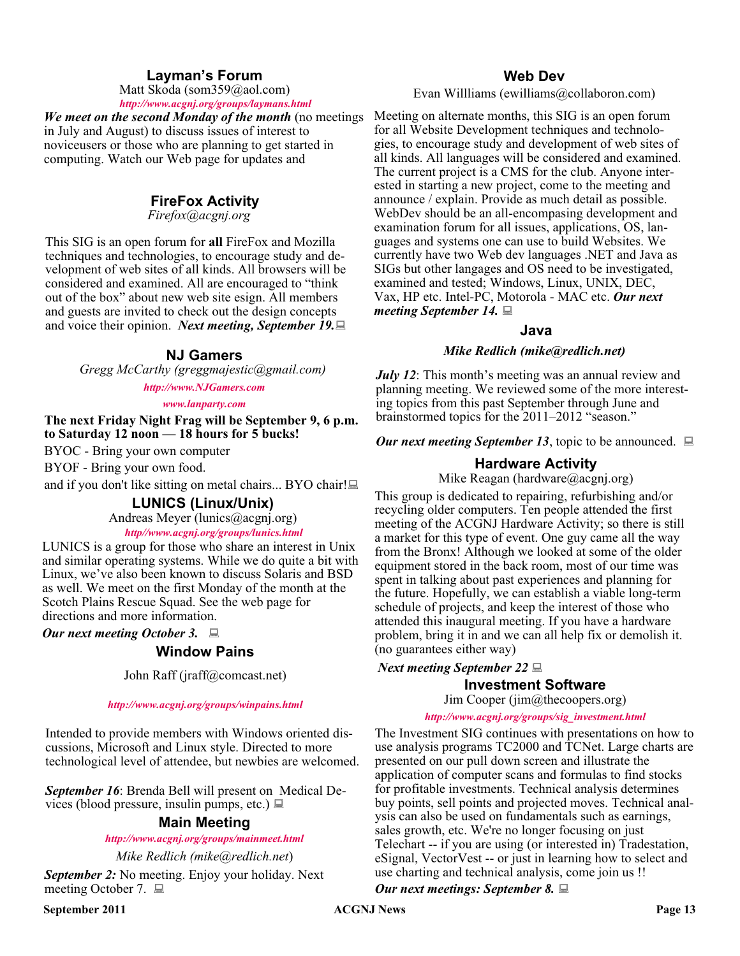## **Layman's Forum**

Matt Skoda (som359@aol.com) *<http://www.acgnj.org/groups/laymans.html>*

*We meet on the second Monday of the month* (no meetings in July and August) to discuss issues of interest to noviceusers or those who are planning to get started in computing. Watch our Web page for updates and

### **FireFox Activity**

*Firefox@acgnj.org*

This SIG is an open forum for **all** FireFox and Mozilla techniques and technologies, to encourage study and development of web sites of all kinds. All browsers will be considered and examined. All are encouraged to "think out of the box" about new web site esign. All members and guests are invited to check out the design concepts and voice their opinion. *Next meeting, September 19.*

#### **NJ Gamers**

*Gregg McCarthy (greggmajestic@gmail.com)*

*<http://www.NJGamers.com>*

#### *[www.lanparty.com](http://www.lanparty.com)*

**The next Friday Night Frag will be September 9, 6 p.m. to Saturday 12 noon — 18 hours for 5 bucks!**

BYOC - Bring your own computer

BYOF - Bring your own food.

and if you don't like sitting on metal chairs... BYO chair!

#### **LUNICS (Linux/Unix)**

Andreas Meyer (lunics@acgnj.org)

*<http//www.acgnj.org/groups/lunics.html>*

LUNICS is a group for those who share an interest in Unix and similar operating systems. While we do quite a bit with Linux, we've also been known to discuss Solaris and BSD as well. We meet on the first Monday of the month at the Scotch Plains Rescue Squad. See the web page for directions and more information.

*Our next meeting October 3.*

### **Window Pains**

John Raff (jraff@comcast.net)

#### *<http://www.acgnj.org/groups/winpains.html>*

Intended to provide members with Windows oriented discussions, Microsoft and Linux style. Directed to more technological level of attendee, but newbies are welcomed.

*September 16*: Brenda Bell will present on Medical Devices (blood pressure, insulin pumps, etc.)  $\Box$ 

### **Main Meeting**

*<http://www.acgnj.org/groups/mainmeet.html>*

*Mike Redlich (mike@redlich.net*)

*September 2:* No meeting. Enjoy your holiday. Next meeting October 7. ■

#### **Web Dev**

Evan Willliams (ewilliams@collaboron.com)

Meeting on alternate months, this SIG is an open forum for all Website Development techniques and technologies, to encourage study and development of web sites of all kinds. All languages will be considered and examined. The current project is a CMS for the club. Anyone interested in starting a new project, come to the meeting and announce / explain. Provide as much detail as possible. WebDev should be an all-encompasing development and examination forum for all issues, applications, OS, languages and systems one can use to build Websites. We currently have two Web dev languages .NET and Java as SIGs but other langages and OS need to be investigated, examined and tested; Windows, Linux, UNIX, DEC, Vax, HP etc. Intel-PC, Motorola - MAC etc. *Our next meeting September 14.*

#### **Java**

#### *Mike Redlich (mike@redlich.net)*

*July 12*: This month's meeting was an annual review and planning meeting. We reviewed some of the more interesting topics from this past September through June and brainstormed topics for the 2011–2012 "season."

*Our next meeting September 13*, topic to be announced.  $\Box$ 

#### **Hardware Activity**

Mike Reagan (hardware@acgnj.org)

This group is dedicated to repairing, refurbishing and/or recycling older computers. Ten people attended the first meeting of the ACGNJ Hardware Activity; so there is still a market for this type of event. One guy came all the way from the Bronx! Although we looked at some of the older equipment stored in the back room, most of our time was spent in talking about past experiences and planning for the future. Hopefully, we can establish a viable long-term schedule of projects, and keep the interest of those who attended this inaugural meeting. If you have a hardware problem, bring it in and we can all help fix or demolish it. (no guarantees either way)

#### *Next meeting September 22*

#### **Investment Software**

Jim Cooper (jim@thecoopers.org)

#### *[http://www.acgnj.org/groups/sig\\_investment.html](http://www.acgnj.org/groups/sig_investment.html)*

The Investment SIG continues with presentations on how to use analysis programs TC2000 and TCNet. Large charts are presented on our pull down screen and illustrate the application of computer scans and formulas to find stocks for profitable investments. Technical analysis determines buy points, sell points and projected moves. Technical analysis can also be used on fundamentals such as earnings, sales growth, etc. We're no longer focusing on just Telechart -- if you are using (or interested in) Tradestation, eSignal, VectorVest -- or just in learning how to select and use charting and technical analysis, come join us !!

*Our next meetings: September 8.*

**September 2011 CONJ News Page 13**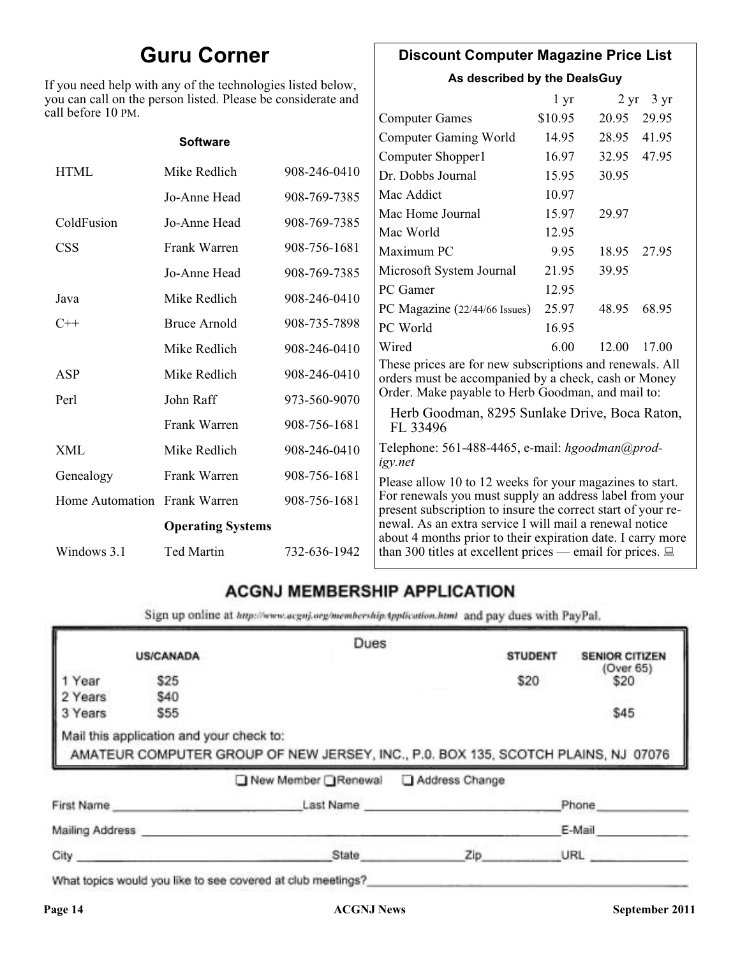## **Guru Corner**

If you need help with any of the technologies listed below, you can call on the person listed. Please be considerate and ca

## **Discount Computer Magazine Price List**

**As described by the DealsGuy**

| ll before 10 PM.             | ou can call on the person listed. Please be considerate and |              |                                                                                                                         | 1 <sub>yr</sub> |       | $2 \text{ yr}$ 3 yr |
|------------------------------|-------------------------------------------------------------|--------------|-------------------------------------------------------------------------------------------------------------------------|-----------------|-------|---------------------|
|                              |                                                             |              | <b>Computer Games</b>                                                                                                   | \$10.95         | 20.95 | 29.95               |
|                              | <b>Software</b>                                             |              | <b>Computer Gaming World</b>                                                                                            | 14.95           | 28.95 | 41.95               |
|                              |                                                             |              | Computer Shopper1                                                                                                       | 16.97           | 32.95 | 47.95               |
| <b>HTML</b>                  | Mike Redlich                                                | 908-246-0410 | Dr. Dobbs Journal                                                                                                       | 15.95           | 30.95 |                     |
|                              | Jo-Anne Head                                                | 908-769-7385 | Mac Addict                                                                                                              | 10.97           |       |                     |
| ColdFusion                   | Jo-Anne Head                                                | 908-769-7385 | Mac Home Journal                                                                                                        | 15.97           | 29.97 |                     |
|                              |                                                             |              | Mac World                                                                                                               | 12.95           |       |                     |
| <b>CSS</b>                   | Frank Warren                                                | 908-756-1681 | Maximum PC                                                                                                              | 9.95            | 18.95 | 27.95               |
|                              | Jo-Anne Head                                                | 908-769-7385 | Microsoft System Journal                                                                                                | 21.95           | 39.95 |                     |
| Java                         | Mike Redlich                                                | 908-246-0410 | PC Gamer                                                                                                                | 12.95           |       |                     |
|                              |                                                             |              | PC Magazine (22/44/66 Issues)                                                                                           | 25.97           | 48.95 | 68.95               |
| $C++$                        | <b>Bruce Arnold</b>                                         | 908-735-7898 | PC World                                                                                                                | 16.95           |       |                     |
|                              | Mike Redlich                                                | 908-246-0410 | Wired                                                                                                                   | 6.00            | 12.00 | 17.00               |
| ASP                          | Mike Redlich                                                | 908-246-0410 | These prices are for new subscriptions and renewals. All<br>orders must be accompanied by a check, cash or Money        |                 |       |                     |
| Perl                         | John Raff                                                   | 973-560-9070 | Order. Make payable to Herb Goodman, and mail to:                                                                       |                 |       |                     |
|                              | Frank Warren                                                | 908-756-1681 | Herb Goodman, 8295 Sunlake Drive, Boca Raton,<br>FL 33496                                                               |                 |       |                     |
| XML                          | Mike Redlich                                                | 908-246-0410 | Telephone: 561-488-4465, e-mail: hgoodman@prod-<br>igy.net                                                              |                 |       |                     |
| Genealogy                    | Frank Warren                                                | 908-756-1681 | Please allow 10 to 12 weeks for your magazines to start.                                                                |                 |       |                     |
| Home Automation Frank Warren |                                                             | 908-756-1681 | For renewals you must supply an address label from your<br>present subscription to insure the correct start of your re- |                 |       |                     |
| <b>Operating Systems</b>     |                                                             |              | newal. As an extra service I will mail a renewal notice<br>about 4 months prior to their expiration date. I carry more  |                 |       |                     |
| Windows 3.1                  | Ted Martin                                                  | 732-636-1942 | than 300 titles at excellent prices — email for prices. $\Box$                                                          |                 |       |                     |

## **ACGNJ MEMBERSHIP APPLICATION**

Sign up online at http://www.acguj.org/membershipApplication.html and pay dues with PayPal.

|                            |                                                                       | Dues                                                                                                                   |                |                           |
|----------------------------|-----------------------------------------------------------------------|------------------------------------------------------------------------------------------------------------------------|----------------|---------------------------|
|                            | <b>US/CANADA</b>                                                      |                                                                                                                        | <b>STUDENT</b> | <b>SENIOR CITIZEN</b>     |
| Year<br>2 Years<br>3 Years | \$25<br>\$40<br>\$55                                                  |                                                                                                                        | \$20           | (Over 65)<br>\$20<br>\$45 |
|                            |                                                                       |                                                                                                                        |                |                           |
|                            | Mail this application and your check to:<br>AMATEUR COMPUTER GROUP OF | AMATEUR COMPUTER GROUP OF NEW JERSEY, INC., P.0. BOX 135, SCOTCH PLAINS, NJ 07076<br>New Member Renewal Address Change |                |                           |
| First Name                 |                                                                       | Last Name                                                                                                              |                | Phone                     |
| Mailing Address            |                                                                       |                                                                                                                        |                | E-Mail                    |

What topics would you like to see covered at club meetings?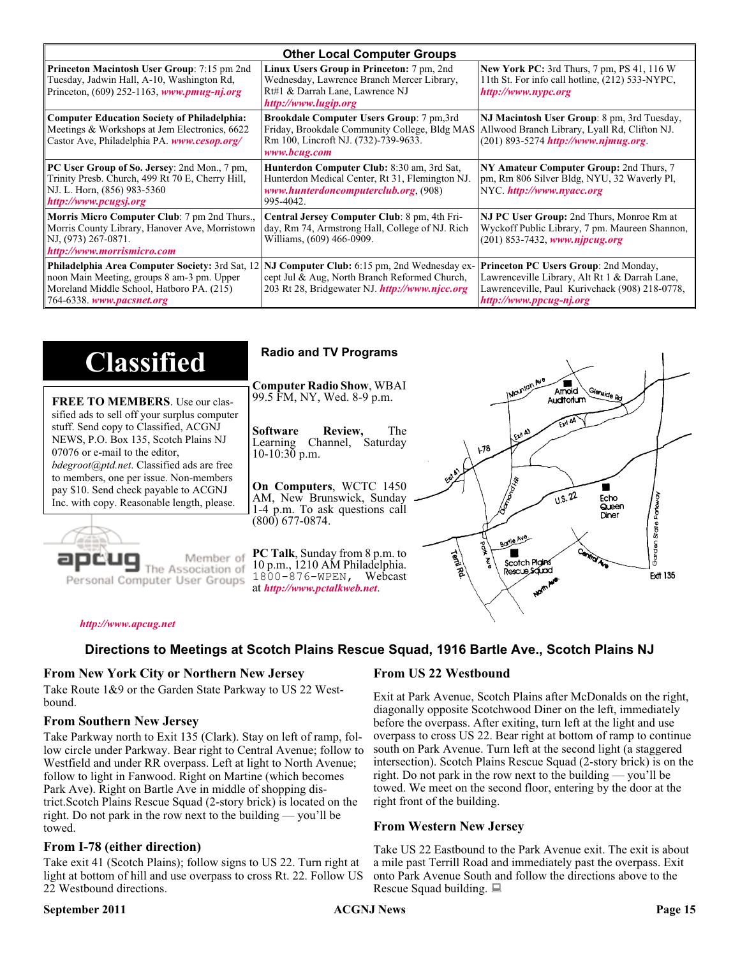| <b>Other Local Computer Groups</b>                                                                                                                                             |                                                                                                                                                           |                                                                                                                                                                      |  |
|--------------------------------------------------------------------------------------------------------------------------------------------------------------------------------|-----------------------------------------------------------------------------------------------------------------------------------------------------------|----------------------------------------------------------------------------------------------------------------------------------------------------------------------|--|
| <b>Princeton Macintosh User Group:</b> 7:15 pm 2nd<br>Tuesday, Jadwin Hall, A-10, Washington Rd,<br>Princeton, $(609)$ 252-1163, www.pmug-nj.org                               | Linux Users Group in Princeton: 7 pm, 2nd<br>Wednesday, Lawrence Branch Mercer Library,<br>Rt#1 & Darrah Lane, Lawrence NJ<br>http://www.lugip.org        | <b>New York PC:</b> 3rd Thurs, 7 pm, PS 41, 116 W<br>11th St. For info call hotline, (212) 533-NYPC,<br>http://www.nypc.org                                          |  |
| <b>Computer Education Society of Philadelphia:</b><br>Meetings & Workshops at Jem Electronics, 6622<br>Castor Ave, Philadelphia PA. www.cesop.org/                             | <b>Brookdale Computer Users Group:</b> 7 pm, 3rd<br>Friday, Brookdale Community College, Bldg MAS<br>Rm 100, Lincroft NJ. (732)-739-9633.<br>www.bcug.com | NJ Macintosh User Group: 8 pm, 3rd Tuesday,<br>Allwood Branch Library, Lyall Rd, Clifton NJ.<br>$(201) 893 - 5274$ http://www.njmug.org                              |  |
| PC User Group of So. Jersey: 2nd Mon., 7 pm,<br>Trinity Presb. Church, 499 Rt 70 E, Cherry Hill,<br>NJ. L. Horn, (856) 983-5360<br>http://www.pcugsj.org                       | Hunterdon Computer Club: 8:30 am, 3rd Sat,<br>Hunterdon Medical Center, Rt 31, Flemington NJ.<br>www.hunterdoncomputerclub.org. (908)<br>995-4042.        | NY Amateur Computer Group: 2nd Thurs, 7<br>pm, Rm 806 Silver Bldg, NYU, 32 Waverly Pl,<br>NYC http://www.nyacc.org                                                   |  |
| Morris Micro Computer Club: 7 pm 2nd Thurs.,<br>Morris County Library, Hanover Ave, Morristown<br>NJ, (973) 267-0871.<br>http://www.morrismicro.com                            | Central Jersey Computer Club: 8 pm, 4th Fri-<br>day, Rm 74, Armstrong Hall, College of NJ. Rich<br>Williams, (609) 466-0909.                              | NJ PC User Group: 2nd Thurs, Monroe Rm at<br>Wyckoff Public Library, 7 pm. Maureen Shannon,<br>$(201)$ 853-7432, www.njpcug.org                                      |  |
| <b>Philadelphia Area Computer Society: 3rd Sat, 12</b><br>noon Main Meeting, groups 8 am-3 pm. Upper<br>Moreland Middle School, Hatboro PA. (215)<br>764-6338. www.pacsnet.org | NJ Computer Club: 6:15 pm, 2nd Wednesday ex-<br>cept Jul & Aug, North Branch Reformed Church,<br>203 Rt 28, Bridgewater NJ. http://www.njcc.org           | Princeton PC Users Group: 2nd Monday,<br>Lawrenceville Library, Alt Rt 1 & Darrah Lane,<br>Lawrenceville, Paul Kurivchack (908) 218-0778,<br>http://www.ppcug-nj.org |  |

| <b>Classified</b>                                                                                                                                                                                                                                                                                                                                                                             | <b>Radio and TV Programs</b>                                                                                                                                                                                                                                                                                                        |
|-----------------------------------------------------------------------------------------------------------------------------------------------------------------------------------------------------------------------------------------------------------------------------------------------------------------------------------------------------------------------------------------------|-------------------------------------------------------------------------------------------------------------------------------------------------------------------------------------------------------------------------------------------------------------------------------------------------------------------------------------|
| <b>FREE TO MEMBERS.</b> Use our clas-<br>sified ads to sell off your surplus computer<br>stuff. Send copy to Classified, ACGNJ<br>NEWS, P.O. Box 135, Scotch Plains NJ<br>07076 or e-mail to the editor,<br><i>bdegroot@ptd.net.</i> Classified ads are free<br>to members, one per issue. Non-members<br>pay \$10. Send check payable to ACGNJ<br>Inc. with copy. Reasonable length, please. | INOUNION AVE<br><b>Computer Radio Show, WBAI</b><br>Amold<br>Slenside Rd<br>99.5 FM, NY, Wed. 8-9 p.m.<br>Auditorium<br>The<br><b>Software</b><br>Review,<br>LEXA A3<br>Channel, Saturday<br>Learning<br>$\sqrt{3}$<br>$10-10:30$ p.m.<br>On Computers, WCTC 1450<br>0.5.22<br>AM, New Brunswick, Sunday<br>Echo<br>Queen           |
| Member of<br>ociation of<br>Personal Computer User Groups                                                                                                                                                                                                                                                                                                                                     | 1-4 p.m. To ask questions call<br>Diner<br>$(800)$ 677-0874.<br>តិ<br>ភិ<br>Borle Ave<br>Ğ<br><b>PC Talk, Sunday from 8 p.m. to</b><br><b>Territory</b><br>Scotch Pigins<br>10 p.m., 1210 AM Philadelphia.<br>Rescue Sound<br><b>Ext 135</b><br>1800-876-WPEN, Webcast<br>at http://www.pctalkweb.net.<br>$\mathbf{v}^{\mathbf{r}}$ |

#### *<http://www.apcug.net>*

#### **Directions to Meetings at Scotch Plains Rescue Squad, 1916 Bartle Ave., Scotch Plains NJ**

#### **From New York City or Northern New Jersey**

Take Route 1&9 or the Garden State Parkway to US 22 Westbound.

#### **From Southern New Jersey**

Take Parkway north to Exit 135 (Clark). Stay on left of ramp, follow circle under Parkway. Bear right to Central Avenue; follow to Westfield and under RR overpass. Left at light to North Avenue; follow to light in Fanwood. Right on Martine (which becomes Park Ave). Right on Bartle Ave in middle of shopping district.Scotch Plains Rescue Squad (2-story brick) is located on the right. Do not park in the row next to the building — you'll be towed.

#### **From I-78 (either direction)**

Take exit 41 (Scotch Plains); follow signs to US 22. Turn right at light at bottom of hill and use overpass to cross Rt. 22. Follow US 22 Westbound directions.

#### **September 2011 ACGNJ News Page 15**

#### **From US 22 Westbound**

Exit at Park Avenue, Scotch Plains after McDonalds on the right, diagonally opposite Scotchwood Diner on the left, immediately before the overpass. After exiting, turn left at the light and use overpass to cross US 22. Bear right at bottom of ramp to continue south on Park Avenue. Turn left at the second light (a staggered intersection). Scotch Plains Rescue Squad (2-story brick) is on the right. Do not park in the row next to the building — you'll be towed. We meet on the second floor, entering by the door at the right front of the building.

#### **From Western New Jersey**

Take US 22 Eastbound to the Park Avenue exit. The exit is about a mile past Terrill Road and immediately past the overpass. Exit onto Park Avenue South and follow the directions above to the Rescue Squad building.